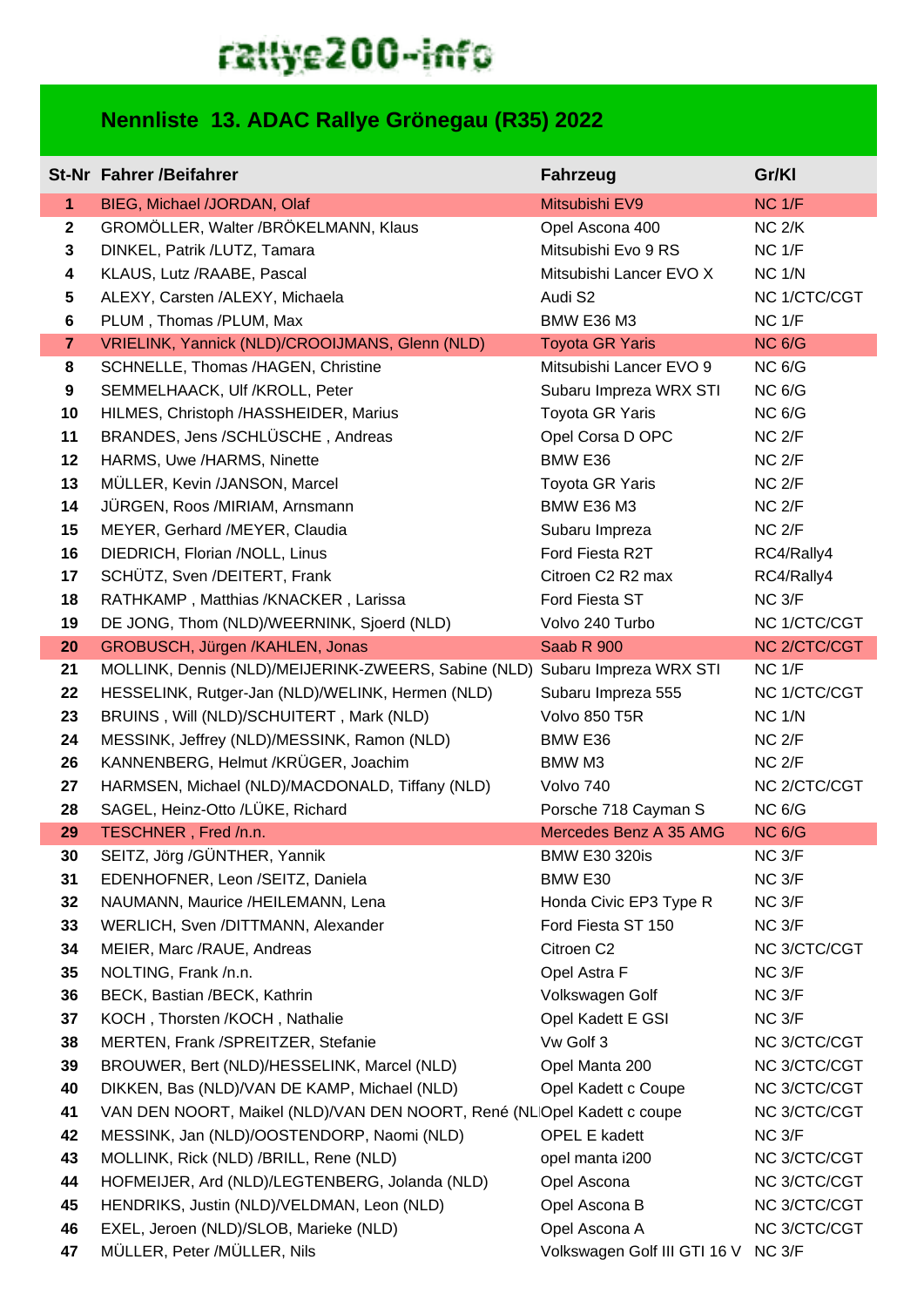## rattye200-info

## **Nennliste 13. ADAC Rallye Grönegau (R35) 2022**

|                | <b>St-Nr Fahrer /Beifahrer</b>                                              | <b>Fahrzeug</b>                           | Gr/KI                              |
|----------------|-----------------------------------------------------------------------------|-------------------------------------------|------------------------------------|
| $\mathbf{1}$   | BIEG, Michael /JORDAN, Olaf                                                 | Mitsubishi EV9                            | $NC$ $1/F$                         |
| $\overline{2}$ | GROMÖLLER, Walter /BRÖKELMANN, Klaus                                        | Opel Ascona 400                           | $NC$ $2/K$                         |
| 3              | DINKEL, Patrik /LUTZ, Tamara                                                | Mitsubishi Evo 9 RS                       | $NC$ $1/F$                         |
| 4              | KLAUS, Lutz /RAABE, Pascal                                                  | Mitsubishi Lancer EVO X                   | $NC$ $1/N$                         |
| 5              | ALEXY, Carsten /ALEXY, Michaela                                             | Audi S2                                   | NC 1/CTC/CGT                       |
| 6              | PLUM, Thomas /PLUM, Max                                                     | <b>BMW E36 M3</b>                         | NC <sub>1/F</sub>                  |
| $\overline{7}$ | VRIELINK, Yannick (NLD)/CROOIJMANS, Glenn (NLD)                             | <b>Toyota GR Yaris</b>                    | <b>NC 6/G</b>                      |
| 8              | SCHNELLE, Thomas /HAGEN, Christine                                          | Mitsubishi Lancer EVO 9                   | <b>NC 6/G</b>                      |
| 9<br>10        | SEMMELHAACK, Ulf /KROLL, Peter<br>HILMES, Christoph /HASSHEIDER, Marius     | Subaru Impreza WRX STI<br>Toyota GR Yaris | NC <sub>6/G</sub><br><b>NC 6/G</b> |
| 11             | BRANDES, Jens /SCHLÜSCHE, Andreas                                           | Opel Corsa D OPC                          | NC <sub>2/F</sub>                  |
| 12             | HARMS, Uwe /HARMS, Ninette                                                  | BMW E36                                   | $NC$ $2/F$                         |
| 13             | MÜLLER, Kevin /JANSON, Marcel                                               | <b>Toyota GR Yaris</b>                    | $NC$ $2/F$                         |
| 14             | JÜRGEN, Roos /MIRIAM, Arnsmann                                              | <b>BMW E36 M3</b>                         | NC <sub>2/F</sub>                  |
| 15             | MEYER, Gerhard /MEYER, Claudia                                              | Subaru Impreza                            | NC <sub>2/F</sub>                  |
| 16             | DIEDRICH, Florian /NOLL, Linus                                              | Ford Fiesta R2T                           | RC4/Rally4                         |
| 17             | SCHÜTZ, Sven /DEITERT, Frank                                                | Citroen C2 R2 max                         | RC4/Rally4                         |
| 18             | RATHKAMP, Matthias /KNACKER, Larissa                                        | Ford Fiesta ST                            | NC 3/F                             |
| 19             | DE JONG, Thom (NLD)/WEERNINK, Sjoerd (NLD)                                  | Volvo 240 Turbo                           | NC 1/CTC/CGT                       |
| 20             | GROBUSCH, Jürgen /KAHLEN, Jonas                                             | Saab R 900                                | NC 2/CTC/CGT                       |
| 21             | MOLLINK, Dennis (NLD)/MEIJERINK-ZWEERS, Sabine (NLD) Subaru Impreza WRX STI |                                           | $NC$ $1/F$                         |
| 22             | HESSELINK, Rutger-Jan (NLD)/WELINK, Hermen (NLD)                            | Subaru Impreza 555                        | NC 1/CTC/CGT                       |
| 23             | BRUINS, Will (NLD)/SCHUITERT, Mark (NLD)                                    | Volvo 850 T5R                             | <b>NC 1/N</b>                      |
| 24             | MESSINK, Jeffrey (NLD)/MESSINK, Ramon (NLD)                                 | BMW E36                                   | NC <sub>2/F</sub>                  |
| 26             | KANNENBERG, Helmut /KRÜGER, Joachim                                         | BMW M3                                    | NC <sub>2/F</sub>                  |
| 27             | HARMSEN, Michael (NLD)/MACDONALD, Tiffany (NLD)                             | Volvo 740                                 | NC 2/CTC/CGT                       |
| 28             | SAGEL, Heinz-Otto /LÜKE, Richard                                            | Porsche 718 Cayman S                      | <b>NC 6/G</b>                      |
| 29             | TESCHNER, Fred /n.n.                                                        | Mercedes Benz A 35 AMG                    | <b>NC 6/G</b>                      |
| 30             | SEITZ, Jörg /GÜNTHER, Yannik                                                | <b>BMW E30 320is</b>                      | NC 3/F                             |
| 31             | EDENHOFNER, Leon /SEITZ, Daniela                                            | BMW E30                                   | NC 3/F                             |
| 32             | NAUMANN, Maurice /HEILEMANN, Lena                                           | Honda Civic EP3 Type R                    | NC 3/F                             |
| 33             | WERLICH, Sven /DITTMANN, Alexander                                          | Ford Fiesta ST 150                        | NC 3/F                             |
| 34<br>35       | MEIER, Marc /RAUE, Andreas<br>NOLTING, Frank /n.n.                          | Citroen C2<br>Opel Astra F                | NC 3/CTC/CGT<br>NC 3/F             |
| 36             | BECK, Bastian /BECK, Kathrin                                                | Volkswagen Golf                           | NC 3/F                             |
| 37             | KOCH, Thorsten /KOCH, Nathalie                                              | Opel Kadett E GSI                         | NC 3/F                             |
| 38             | MERTEN, Frank /SPREITZER, Stefanie                                          | Vw Golf 3                                 | NC 3/CTC/CGT                       |
| 39             | BROUWER, Bert (NLD)/HESSELINK, Marcel (NLD)                                 | Opel Manta 200                            | NC 3/CTC/CGT                       |
| 40             | DIKKEN, Bas (NLD)/VAN DE KAMP, Michael (NLD)                                | Opel Kadett c Coupe                       | NC 3/CTC/CGT                       |
| 41             | VAN DEN NOORT, Maikel (NLD)/VAN DEN NOORT, René (NLOpel Kadett c coupe      |                                           | NC 3/CTC/CGT                       |
| 42             | MESSINK, Jan (NLD)/OOSTENDORP, Naomi (NLD)                                  | <b>OPEL E kadett</b>                      | NC 3/F                             |
| 43             | MOLLINK, Rick (NLD) /BRILL, Rene (NLD)                                      | opel manta i200                           | NC 3/CTC/CGT                       |
| 44             | HOFMEIJER, Ard (NLD)/LEGTENBERG, Jolanda (NLD)                              | Opel Ascona                               | NC 3/CTC/CGT                       |
| 45             | HENDRIKS, Justin (NLD)/VELDMAN, Leon (NLD)                                  | Opel Ascona B                             | NC 3/CTC/CGT                       |
| 46             | EXEL, Jeroen (NLD)/SLOB, Marieke (NLD)                                      | Opel Ascona A                             | NC 3/CTC/CGT                       |
| 47             | MÜLLER, Peter /MÜLLER, Nils                                                 | Volkswagen Golf III GTI 16 V NC 3/F       |                                    |